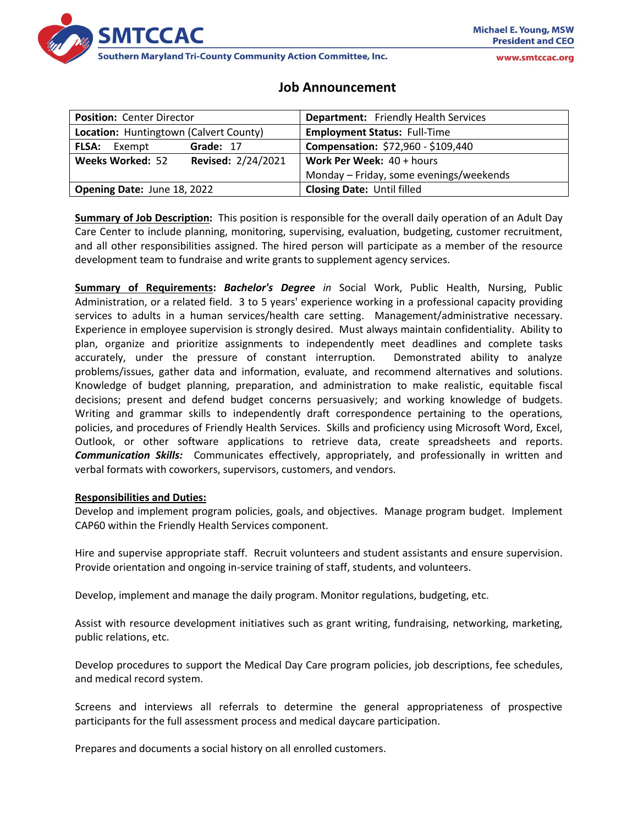

www.smtccac.org

# **Job Announcement**

| <b>Position: Center Director</b>              | <b>Department:</b> Friendly Health Services |
|-----------------------------------------------|---------------------------------------------|
| Location: Huntingtown (Calvert County)        | <b>Employment Status: Full-Time</b>         |
| Grade: 17<br><b>FLSA:</b><br>Exempt           | Compensation: \$72,960 - \$109,440          |
| <b>Revised: 2/24/2021</b><br>Weeks Worked: 52 | <b>Work Per Week:</b> $40 + hours$          |
|                                               | Monday - Friday, some evenings/weekends     |
| Opening Date: June 18, 2022                   | <b>Closing Date: Until filled</b>           |

**Summary of Job Description:** This position is responsible for the overall daily operation of an Adult Day Care Center to include planning, monitoring, supervising, evaluation, budgeting, customer recruitment, and all other responsibilities assigned. The hired person will participate as a member of the resource development team to fundraise and write grants to supplement agency services.

**Summary of Requirements:** *Bachelor's Degree in* Social Work, Public Health, Nursing, Public Administration, or a related field. 3 to 5 years' experience working in a professional capacity providing services to adults in a human services/health care setting. Management/administrative necessary. Experience in employee supervision is strongly desired. Must always maintain confidentiality. Ability to plan, organize and prioritize assignments to independently meet deadlines and complete tasks accurately, under the pressure of constant interruption. Demonstrated ability to analyze problems/issues, gather data and information, evaluate, and recommend alternatives and solutions. Knowledge of budget planning, preparation, and administration to make realistic, equitable fiscal decisions; present and defend budget concerns persuasively; and working knowledge of budgets. Writing and grammar skills to independently draft correspondence pertaining to the operations, policies, and procedures of Friendly Health Services. Skills and proficiency using Microsoft Word, Excel, Outlook, or other software applications to retrieve data, create spreadsheets and reports. *Communication Skills:* Communicates effectively, appropriately, and professionally in written and verbal formats with coworkers, supervisors, customers, and vendors.

#### **Responsibilities and Duties:**

Develop and implement program policies, goals, and objectives. Manage program budget. Implement CAP60 within the Friendly Health Services component.

Hire and supervise appropriate staff. Recruit volunteers and student assistants and ensure supervision. Provide orientation and ongoing in-service training of staff, students, and volunteers.

Develop, implement and manage the daily program. Monitor regulations, budgeting, etc.

Assist with resource development initiatives such as grant writing, fundraising, networking, marketing, public relations, etc.

Develop procedures to support the Medical Day Care program policies, job descriptions, fee schedules, and medical record system.

Screens and interviews all referrals to determine the general appropriateness of prospective participants for the full assessment process and medical daycare participation.

Prepares and documents a social history on all enrolled customers.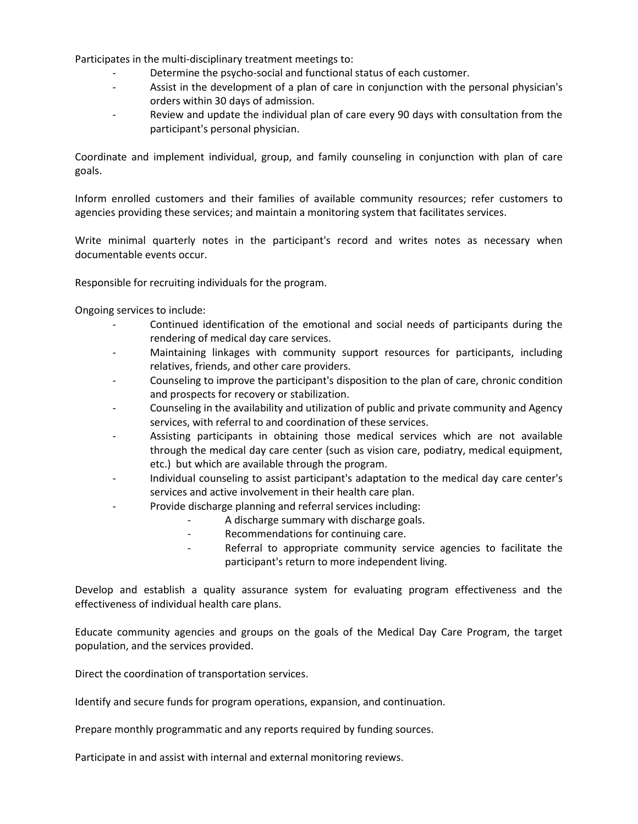Participates in the multi-disciplinary treatment meetings to:

- Determine the psycho-social and functional status of each customer.
- Assist in the development of a plan of care in conjunction with the personal physician's orders within 30 days of admission.
- Review and update the individual plan of care every 90 days with consultation from the participant's personal physician.

Coordinate and implement individual, group, and family counseling in conjunction with plan of care goals.

Inform enrolled customers and their families of available community resources; refer customers to agencies providing these services; and maintain a monitoring system that facilitates services.

Write minimal quarterly notes in the participant's record and writes notes as necessary when documentable events occur.

Responsible for recruiting individuals for the program.

Ongoing services to include:

- Continued identification of the emotional and social needs of participants during the rendering of medical day care services.
- Maintaining linkages with community support resources for participants, including relatives, friends, and other care providers.
- Counseling to improve the participant's disposition to the plan of care, chronic condition and prospects for recovery or stabilization.
- Counseling in the availability and utilization of public and private community and Agency services, with referral to and coordination of these services.
- Assisting participants in obtaining those medical services which are not available through the medical day care center (such as vision care, podiatry, medical equipment, etc.) but which are available through the program.
- Individual counseling to assist participant's adaptation to the medical day care center's services and active involvement in their health care plan.
- Provide discharge planning and referral services including:
	- A discharge summary with discharge goals.
	- Recommendations for continuing care.
	- Referral to appropriate community service agencies to facilitate the participant's return to more independent living.

Develop and establish a quality assurance system for evaluating program effectiveness and the effectiveness of individual health care plans.

Educate community agencies and groups on the goals of the Medical Day Care Program, the target population, and the services provided.

Direct the coordination of transportation services.

Identify and secure funds for program operations, expansion, and continuation.

Prepare monthly programmatic and any reports required by funding sources.

Participate in and assist with internal and external monitoring reviews.